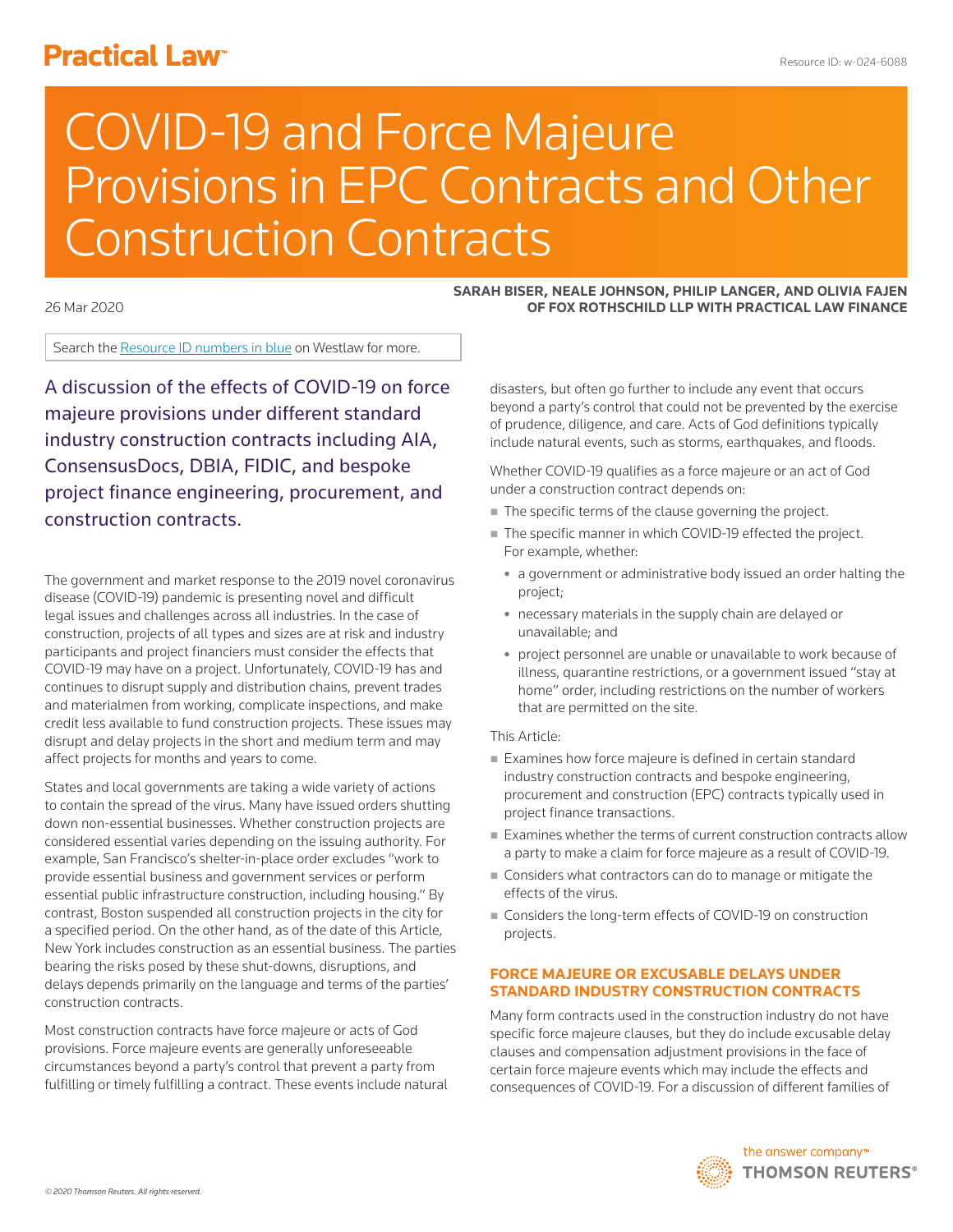# **Practical Law<sup>®</sup>**

# COVID-19 and Force Majeure Provisions in EPC Contracts and Other Construction Contracts

26 Mar 2020

Search the Resource ID numbers in blue on Westlaw for more.

A discussion of the effects of COVID-19 on force majeure provisions under different standard industry construction contracts including AIA, ConsensusDocs, DBIA, FIDIC, and bespoke project finance engineering, procurement, and construction contracts.

The government and market response to the 2019 novel coronavirus disease (COVID-19) pandemic is presenting novel and difficult legal issues and challenges across all industries. In the case of construction, projects of all types and sizes are at risk and industry participants and project financiers must consider the effects that COVID-19 may have on a project. Unfortunately, COVID-19 has and continues to disrupt supply and distribution chains, prevent trades and materialmen from working, complicate inspections, and make credit less available to fund construction projects. These issues may disrupt and delay projects in the short and medium term and may affect projects for months and years to come.

States and local governments are taking a wide variety of actions to contain the spread of the virus. Many have issued orders shutting down non-essential businesses. Whether construction projects are considered essential varies depending on the issuing authority. For example, San Francisco's shelter-in-place order excludes "work to provide essential business and government services or perform essential public infrastructure construction, including housing." By contrast, Boston suspended all construction projects in the city for a specified period. On the other hand, as of the date of this Article, New York includes construction as an essential business. The parties bearing the risks posed by these shut-downs, disruptions, and delays depends primarily on the language and terms of the parties' construction contracts.

Most construction contracts have force majeure or acts of God provisions. Force majeure events are generally unforeseeable circumstances beyond a party's control that prevent a party from fulfilling or timely fulfilling a contract. These events include natural

**SARAH BISER, NEALE JOHNSON, PHILIP LANGER, AND OLIVIA FAJEN OF FOX ROTHSCHILD LLP WITH PRACTICAL LAW FINANCE**

disasters, but often go further to include any event that occurs beyond a party's control that could not be prevented by the exercise of prudence, diligence, and care. Acts of God definitions typically include natural events, such as storms, earthquakes, and floods.

Whether COVID-19 qualifies as a force majeure or an act of God under a construction contract depends on:

- The specific terms of the clause governing the project.
- The specific manner in which COVID-19 effected the project. For example, whether:
	- a government or administrative body issued an order halting the project;
	- necessary materials in the supply chain are delayed or unavailable; and
	- project personnel are unable or unavailable to work because of illness, quarantine restrictions, or a government issued "stay at home" order, including restrictions on the number of workers that are permitted on the site.

# This Article:

- Examines how force majeure is defined in certain standard industry construction contracts and bespoke engineering, procurement and construction (EPC) contracts typically used in project finance transactions.
- Examines whether the terms of current construction contracts allow a party to make a claim for force majeure as a result of COVID-19.
- Considers what contractors can do to manage or mitigate the effects of the virus.
- Considers the long-term effects of COVID-19 on construction projects.

### **FORCE MAJEURE OR EXCUSABLE DELAYS UNDER STANDARD INDUSTRY CONSTRUCTION CONTRACTS**

Many form contracts used in the construction industry do not have specific force majeure clauses, but they do include excusable delay clauses and compensation adjustment provisions in the face of certain force majeure events which may include the effects and consequences of COVID-19. For a discussion of different families of

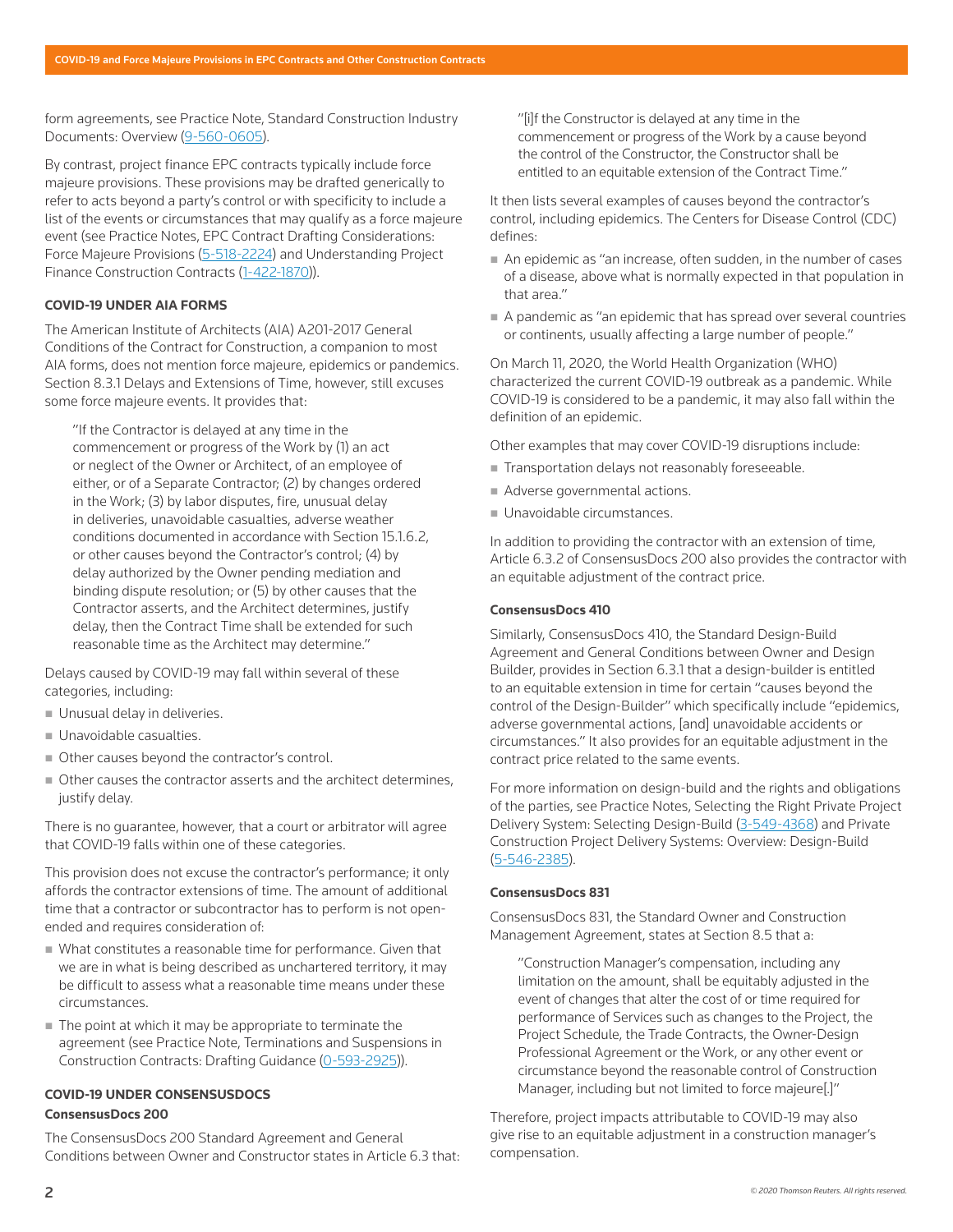form agreements, see Practice Note, Standard Construction Industry Documents: Overview (9-560-0605).

By contrast, project finance EPC contracts typically include force majeure provisions. These provisions may be drafted generically to refer to acts beyond a party's control or with specificity to include a list of the events or circumstances that may qualify as a force majeure event (see Practice Notes, EPC Contract Drafting Considerations: Force Majeure Provisions (5-518-2224) and Understanding Project Finance Construction Contracts (1-422-1870)).

#### **COVID-19 UNDER AIA FORMS**

The American Institute of Architects (AIA) A201-2017 General Conditions of the Contract for Construction, a companion to most AIA forms, does not mention force majeure, epidemics or pandemics. Section 8.3.1 Delays and Extensions of Time, however, still excuses some force majeure events. It provides that:

"If the Contractor is delayed at any time in the commencement or progress of the Work by (1) an act or neglect of the Owner or Architect, of an employee of either, or of a Separate Contractor; (2) by changes ordered in the Work; (3) by labor disputes, fire, unusual delay in deliveries, unavoidable casualties, adverse weather conditions documented in accordance with Section 15.1.6.2, or other causes beyond the Contractor's control; (4) by delay authorized by the Owner pending mediation and binding dispute resolution; or (5) by other causes that the Contractor asserts, and the Architect determines, justify delay, then the Contract Time shall be extended for such reasonable time as the Architect may determine."

Delays caused by COVID-19 may fall within several of these categories, including:

- Unusual delay in deliveries.
- **Unavoidable casualties.**
- Other causes beyond the contractor's control.
- Other causes the contractor asserts and the architect determines, justify delay.

There is no guarantee, however, that a court or arbitrator will agree that COVID-19 falls within one of these categories.

This provision does not excuse the contractor's performance; it only affords the contractor extensions of time. The amount of additional time that a contractor or subcontractor has to perform is not openended and requires consideration of:

- What constitutes a reasonable time for performance. Given that we are in what is being described as unchartered territory, it may be difficult to assess what a reasonable time means under these circumstances.
- The point at which it may be appropriate to terminate the agreement (see Practice Note, Terminations and Suspensions in Construction Contracts: Drafting Guidance (0-593-2925)).

# **COVID-19 UNDER CONSENSUSDOCS**

## **ConsensusDocs 200**

The ConsensusDocs 200 Standard Agreement and General Conditions between Owner and Constructor states in Article 6.3 that: "[i]f the Constructor is delayed at any time in the commencement or progress of the Work by a cause beyond the control of the Constructor, the Constructor shall be entitled to an equitable extension of the Contract Time."

It then lists several examples of causes beyond the contractor's control, including epidemics. The Centers for Disease Control (CDC) defines:

- An epidemic as "an increase, often sudden, in the number of cases of a disease, above what is normally expected in that population in that area."
- A pandemic as "an epidemic that has spread over several countries or continents, usually affecting a large number of people."

On March 11, 2020, the World Health Organization (WHO) characterized the current COVID-19 outbreak as a pandemic. While COVID-19 is considered to be a pandemic, it may also fall within the definition of an epidemic.

Other examples that may cover COVID-19 disruptions include:

- Transportation delays not reasonably foreseeable.
- Adverse governmental actions.
- **Unavoidable circumstances.**

In addition to providing the contractor with an extension of time, Article 6.3.2 of ConsensusDocs 200 also provides the contractor with an equitable adjustment of the contract price.

#### **ConsensusDocs 410**

Similarly, ConsensusDocs 410, the Standard Design-Build Agreement and General Conditions between Owner and Design Builder, provides in Section 6.3.1 that a design-builder is entitled to an equitable extension in time for certain "causes beyond the control of the Design-Builder" which specifically include "epidemics, adverse governmental actions, [and] unavoidable accidents or circumstances." It also provides for an equitable adjustment in the contract price related to the same events.

For more information on design-build and the rights and obligations of the parties, see Practice Notes, Selecting the Right Private Project Delivery System: Selecting Design-Build (3-549-4368) and Private Construction Project Delivery Systems: Overview: Design-Build (5-546-2385).

#### **ConsensusDocs 831**

ConsensusDocs 831, the Standard Owner and Construction Management Agreement, states at Section 8.5 that a:

"Construction Manager's compensation, including any limitation on the amount, shall be equitably adjusted in the event of changes that alter the cost of or time required for performance of Services such as changes to the Project, the Project Schedule, the Trade Contracts, the Owner-Design Professional Agreement or the Work, or any other event or circumstance beyond the reasonable control of Construction Manager, including but not limited to force majeure[.]"

Therefore, project impacts attributable to COVID-19 may also give rise to an equitable adjustment in a construction manager's compensation.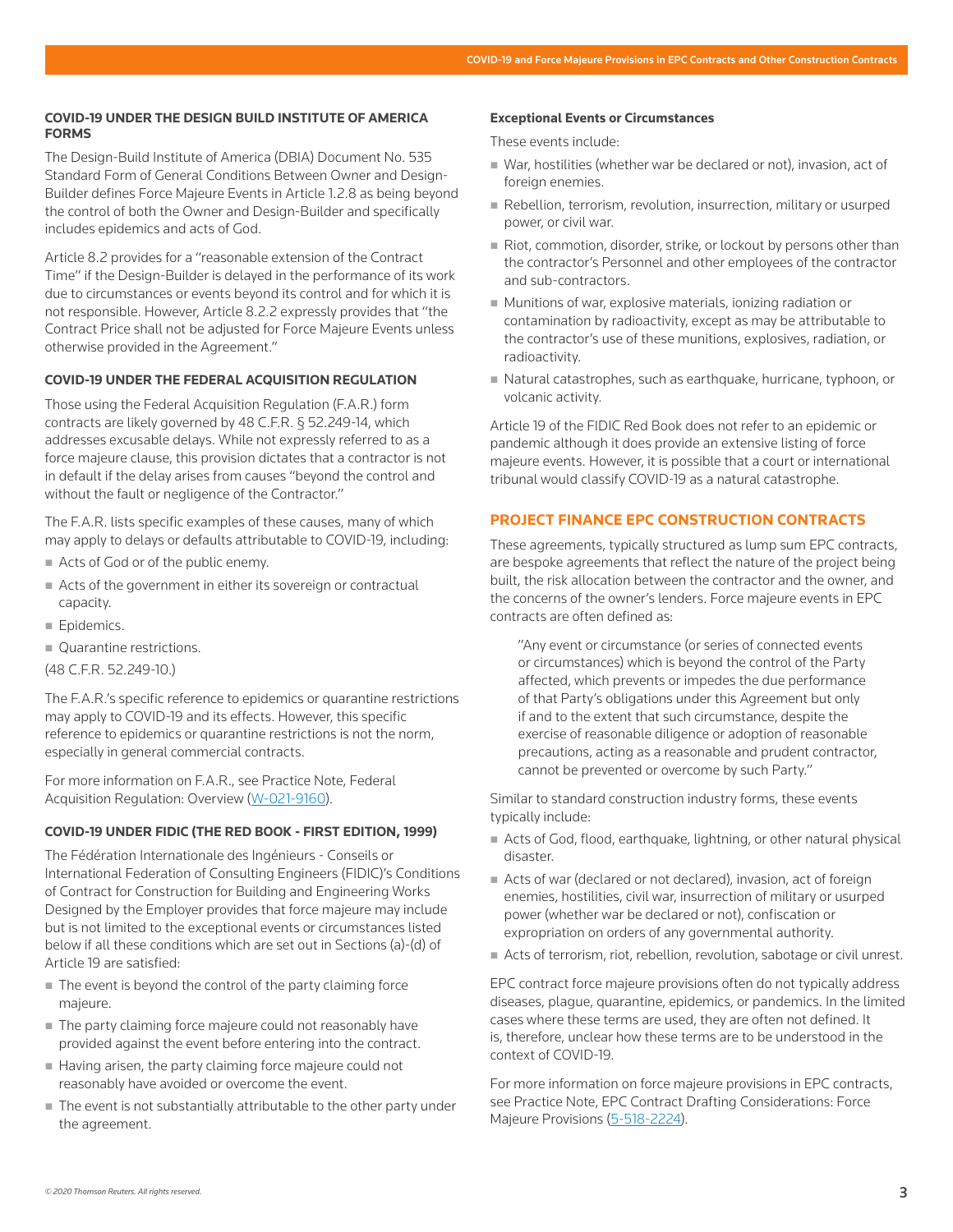#### **COVID-19 UNDER THE DESIGN BUILD INSTITUTE OF AMERICA FORMS**

The Design-Build Institute of America (DBIA) Document No. 535 Standard Form of General Conditions Between Owner and Design-Builder defines Force Majeure Events in Article 1.2.8 as being beyond the control of both the Owner and Design-Builder and specifically includes epidemics and acts of God.

Article 8.2 provides for a "reasonable extension of the Contract Time" if the Design-Builder is delayed in the performance of its work due to circumstances or events beyond its control and for which it is not responsible. However, Article 8.2.2 expressly provides that "the Contract Price shall not be adjusted for Force Majeure Events unless otherwise provided in the Agreement."

# **COVID-19 UNDER THE FEDERAL ACQUISITION REGULATION**

Those using the Federal Acquisition Regulation (F.A.R.) form contracts are likely governed by 48 C.F.R. § 52.249-14, which addresses excusable delays. While not expressly referred to as a force majeure clause, this provision dictates that a contractor is not in default if the delay arises from causes "beyond the control and without the fault or negligence of the Contractor."

The F.A.R. lists specific examples of these causes, many of which may apply to delays or defaults attributable to COVID-19, including:

- Acts of God or of the public enemy.
- Acts of the government in either its sovereign or contractual capacity.
- **Epidemics.**
- Quarantine restrictions.
- (48 C.F.R. 52.249-10.)

The F.A.R.'s specific reference to epidemics or quarantine restrictions may apply to COVID-19 and its effects. However, this specific reference to epidemics or quarantine restrictions is not the norm, especially in general commercial contracts.

For more information on F.A.R., see Practice Note, Federal Acquisition Regulation: Overview (W-021-9160).

#### **COVID-19 UNDER FIDIC (THE RED BOOK - FIRST EDITION, 1999)**

The Fédération Internationale des Ingénieurs - Conseils or International Federation of Consulting Engineers (FIDIC)'s Conditions of Contract for Construction for Building and Engineering Works Designed by the Employer provides that force majeure may include but is not limited to the exceptional events or circumstances listed below if all these conditions which are set out in Sections (a)-(d) of Article 19 are satisfied:

- The event is beyond the control of the party claiming force majeure.
- The party claiming force majeure could not reasonably have provided against the event before entering into the contract.
- Having arisen, the party claiming force majeure could not reasonably have avoided or overcome the event.
- $\blacksquare$  The event is not substantially attributable to the other party under the agreement.

#### **Exceptional Events or Circumstances**

These events include:

- War, hostilities (whether war be declared or not), invasion, act of foreign enemies.
- Rebellion, terrorism, revolution, insurrection, military or usurped power, or civil war.
- Riot, commotion, disorder, strike, or lockout by persons other than the contractor's Personnel and other employees of the contractor and sub-contractors.
- Munitions of war, explosive materials, ionizing radiation or contamination by radioactivity, except as may be attributable to the contractor's use of these munitions, explosives, radiation, or radioactivity.
- Natural catastrophes, such as earthquake, hurricane, typhoon, or volcanic activity.

Article 19 of the FIDIC Red Book does not refer to an epidemic or pandemic although it does provide an extensive listing of force majeure events. However, it is possible that a court or international tribunal would classify COVID-19 as a natural catastrophe.

#### **PROJECT FINANCE EPC CONSTRUCTION CONTRACTS**

These agreements, typically structured as lump sum EPC contracts, are bespoke agreements that reflect the nature of the project being built, the risk allocation between the contractor and the owner, and the concerns of the owner's lenders. Force majeure events in EPC contracts are often defined as:

"Any event or circumstance (or series of connected events or circumstances) which is beyond the control of the Party affected, which prevents or impedes the due performance of that Party's obligations under this Agreement but only if and to the extent that such circumstance, despite the exercise of reasonable diligence or adoption of reasonable precautions, acting as a reasonable and prudent contractor, cannot be prevented or overcome by such Party."

Similar to standard construction industry forms, these events typically include:

- Acts of God, flood, earthquake, lightning, or other natural physical disaster.
- Acts of war (declared or not declared), invasion, act of foreign enemies, hostilities, civil war, insurrection of military or usurped power (whether war be declared or not), confiscation or expropriation on orders of any governmental authority.
- Acts of terrorism, riot, rebellion, revolution, sabotage or civil unrest.

EPC contract force majeure provisions often do not typically address diseases, plague, quarantine, epidemics, or pandemics. In the limited cases where these terms are used, they are often not defined. It is, therefore, unclear how these terms are to be understood in the context of COVID-19.

For more information on force majeure provisions in EPC contracts, see Practice Note, EPC Contract Drafting Considerations: Force Majeure Provisions (5-518-2224).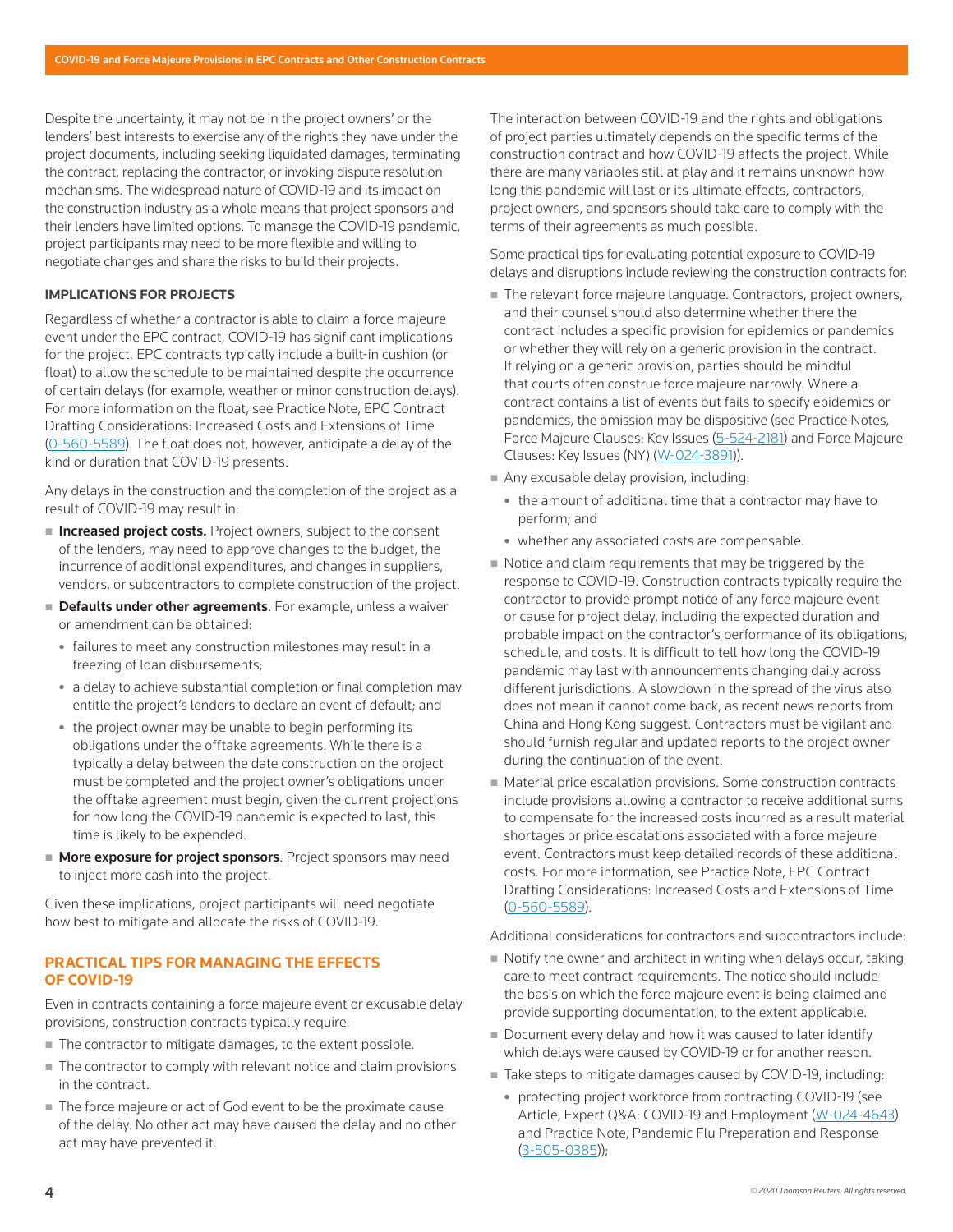Despite the uncertainty, it may not be in the project owners' or the lenders' best interests to exercise any of the rights they have under the project documents, including seeking liquidated damages, terminating the contract, replacing the contractor, or invoking dispute resolution mechanisms. The widespread nature of COVID-19 and its impact on the construction industry as a whole means that project sponsors and their lenders have limited options. To manage the COVID-19 pandemic, project participants may need to be more flexible and willing to negotiate changes and share the risks to build their projects.

#### **IMPLICATIONS FOR PROJECTS**

Regardless of whether a contractor is able to claim a force majeure event under the EPC contract, COVID-19 has significant implications for the project. EPC contracts typically include a built-in cushion (or float) to allow the schedule to be maintained despite the occurrence of certain delays (for example, weather or minor construction delays). For more information on the float, see Practice Note, EPC Contract Drafting Considerations: Increased Costs and Extensions of Time (0-560-5589). The float does not, however, anticipate a delay of the kind or duration that COVID-19 presents.

Any delays in the construction and the completion of the project as a result of COVID-19 may result in:

- **Increased project costs.** Project owners, subject to the consent of the lenders, may need to approve changes to the budget, the incurrence of additional expenditures, and changes in suppliers, vendors, or subcontractors to complete construction of the project.
- Defaults under other agreements. For example, unless a waiver or amendment can be obtained:
	- failures to meet any construction milestones may result in a freezing of loan disbursements;
	- a delay to achieve substantial completion or final completion may entitle the project's lenders to declare an event of default; and
	- the project owner may be unable to begin performing its obligations under the offtake agreements. While there is a typically a delay between the date construction on the project must be completed and the project owner's obligations under the offtake agreement must begin, given the current projections for how long the COVID-19 pandemic is expected to last, this time is likely to be expended.
- **More exposure for project sponsors**. Project sponsors may need to inject more cash into the project.

Given these implications, project participants will need negotiate how best to mitigate and allocate the risks of COVID-19.

# **PRACTICAL TIPS FOR MANAGING THE EFFECTS OF COVID-19**

Even in contracts containing a force majeure event or excusable delay provisions, construction contracts typically require:

- The contractor to mitigate damages, to the extent possible.
- The contractor to comply with relevant notice and claim provisions in the contract.
- The force majeure or act of God event to be the proximate cause of the delay. No other act may have caused the delay and no other act may have prevented it.

The interaction between COVID-19 and the rights and obligations of project parties ultimately depends on the specific terms of the construction contract and how COVID-19 affects the project. While there are many variables still at play and it remains unknown how long this pandemic will last or its ultimate effects, contractors, project owners, and sponsors should take care to comply with the terms of their agreements as much possible.

Some practical tips for evaluating potential exposure to COVID-19 delays and disruptions include reviewing the construction contracts for:

- The relevant force majeure language. Contractors, project owners, and their counsel should also determine whether there the contract includes a specific provision for epidemics or pandemics or whether they will rely on a generic provision in the contract. If relying on a generic provision, parties should be mindful that courts often construe force majeure narrowly. Where a contract contains a list of events but fails to specify epidemics or pandemics, the omission may be dispositive (see Practice Notes, Force Majeure Clauses: Key Issues (5-524-2181) and Force Majeure Clauses: Key Issues (NY) (W-024-3891)).
- Any excusable delay provision, including:
	- the amount of additional time that a contractor may have to perform; and
	- whether any associated costs are compensable.
- $\blacksquare$  Notice and claim requirements that may be triggered by the response to COVID-19. Construction contracts typically require the contractor to provide prompt notice of any force majeure event or cause for project delay, including the expected duration and probable impact on the contractor's performance of its obligations, schedule, and costs. It is difficult to tell how long the COVID-19 pandemic may last with announcements changing daily across different jurisdictions. A slowdown in the spread of the virus also does not mean it cannot come back, as recent news reports from China and Hong Kong suggest. Contractors must be vigilant and should furnish regular and updated reports to the project owner during the continuation of the event.
- **Material price escalation provisions. Some construction contracts** include provisions allowing a contractor to receive additional sums to compensate for the increased costs incurred as a result material shortages or price escalations associated with a force majeure event. Contractors must keep detailed records of these additional costs. For more information, see Practice Note, EPC Contract Drafting Considerations: Increased Costs and Extensions of Time (0-560-5589).

Additional considerations for contractors and subcontractors include:

- Notify the owner and architect in writing when delays occur, taking care to meet contract requirements. The notice should include the basis on which the force majeure event is being claimed and provide supporting documentation, to the extent applicable.
- Document every delay and how it was caused to later identify which delays were caused by COVID-19 or for another reason.
- Take steps to mitigate damages caused by COVID-19, including:
	- protecting project workforce from contracting COVID-19 (see Article, Expert Q&A: COVID-19 and Employment (W-024-4643) and Practice Note, Pandemic Flu Preparation and Response (3-505-0385));